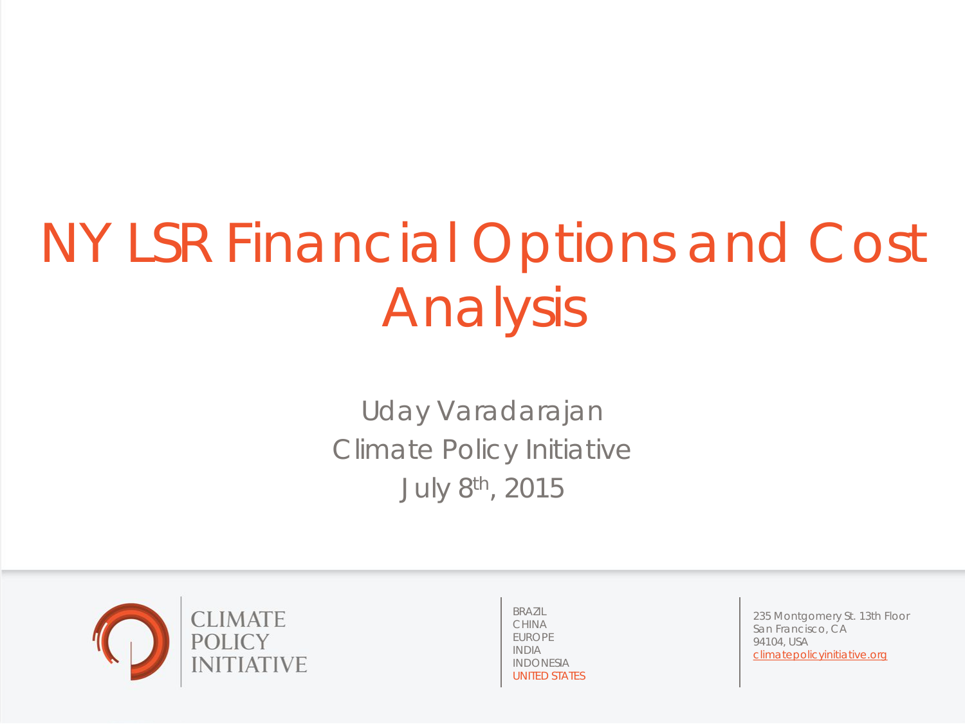# NY LSR Financial Options and Cost Analysis

Uday Varadarajan Climate Policy Initiative July 8th, 2015



BRAZIL CHINA EUROPE INDIA INDONESIA UNITED STATES

235 Montgomery St. 13th Floor San Francisco, CA 94104, USA climatepolicyinitiative.org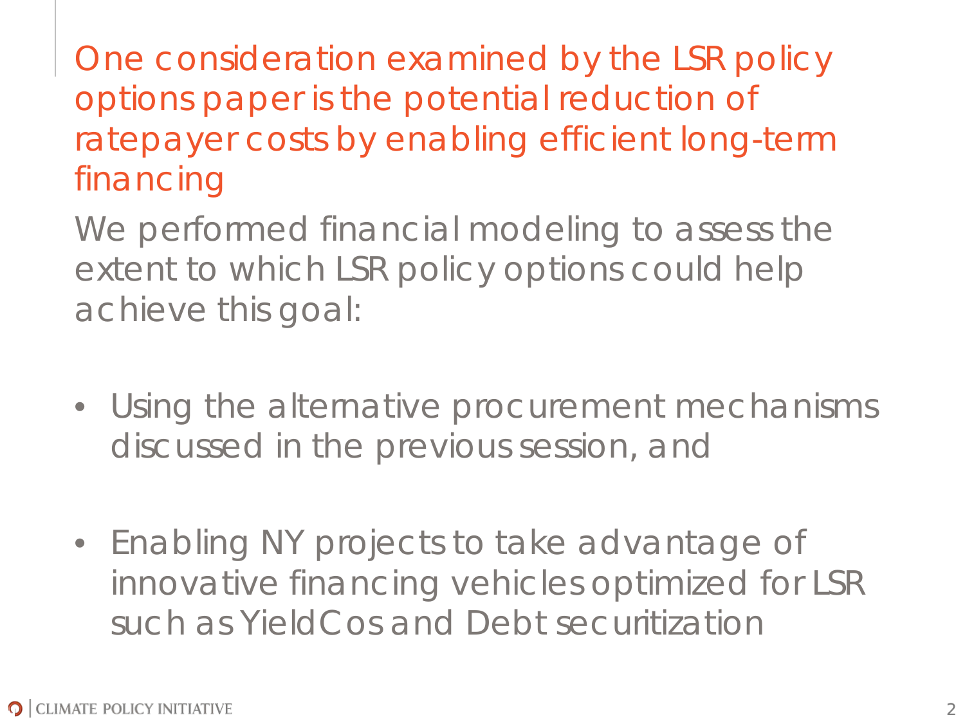One consideration examined by the LSR policy options paper is the potential reduction of ratepayer costs by enabling efficient long-term financing

We performed financial modeling to assess the extent to which LSR policy options could help achieve this goal:

- Using the alternative procurement mechanisms discussed in the previous session, and
- Enabling NY projects to take advantage of innovative financing vehicles optimized for LSR such as YieldCos and Debt securitization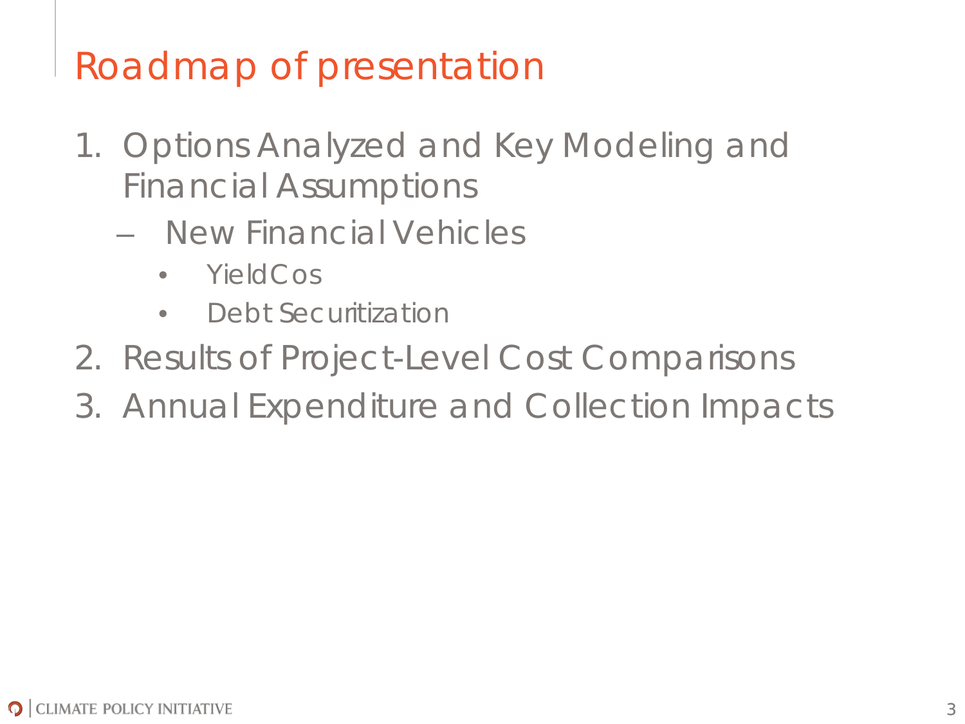# Roadmap of presentation

- 1. Options Analyzed and Key Modeling and Financial Assumptions
	- New Financial Vehicles
		- YieldCos
		- Debt Securitization
- 2. Results of Project-Level Cost Comparisons
- 3. Annual Expenditure and Collection Impacts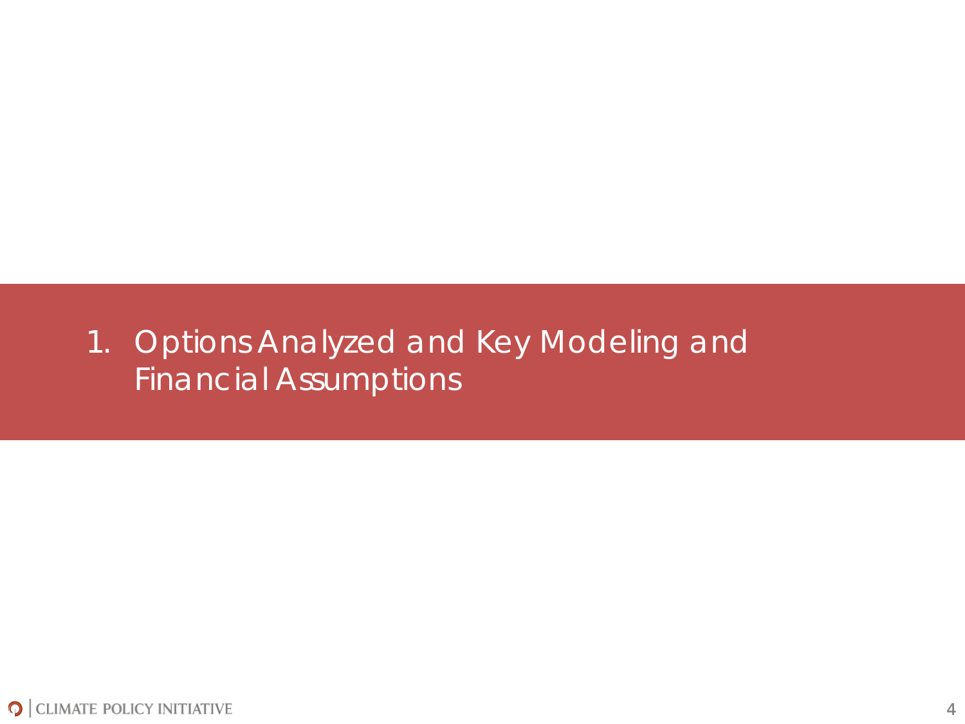#### 1. Options Analyzed and Key Modeling and Financial Assumptions

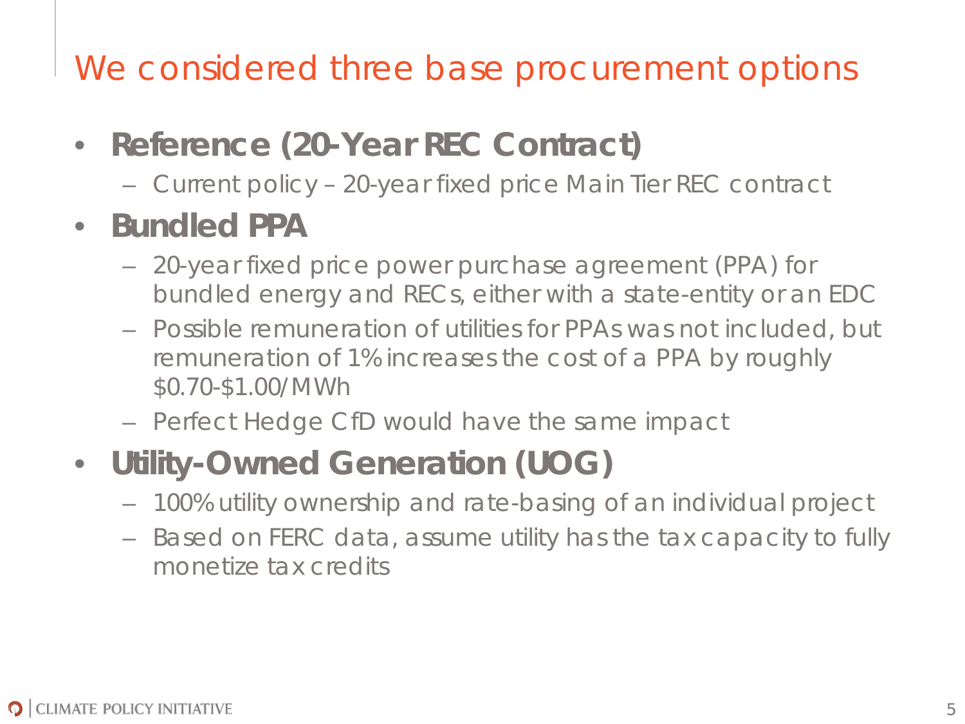We considered three base procurement options

- **Reference (20-Year REC Contract)** 
	- Current policy 20-year fixed price Main Tier REC contract

#### • **Bundled PPA**

- 20-year fixed price power purchase agreement (PPA) for bundled energy and RECs, either with a state-entity or an EDC
- Possible remuneration of utilities for PPAs was not included, but remuneration of 1% increases the cost of a PPA by roughly \$0.70-\$1.00/MWh
- Perfect Hedge CfD would have the same impact
- **Utility-Owned Generation (UOG)**
	- 100% utility ownership and rate-basing of an individual project
	- Based on FERC data, assume utility has the tax capacity to fully monetize tax credits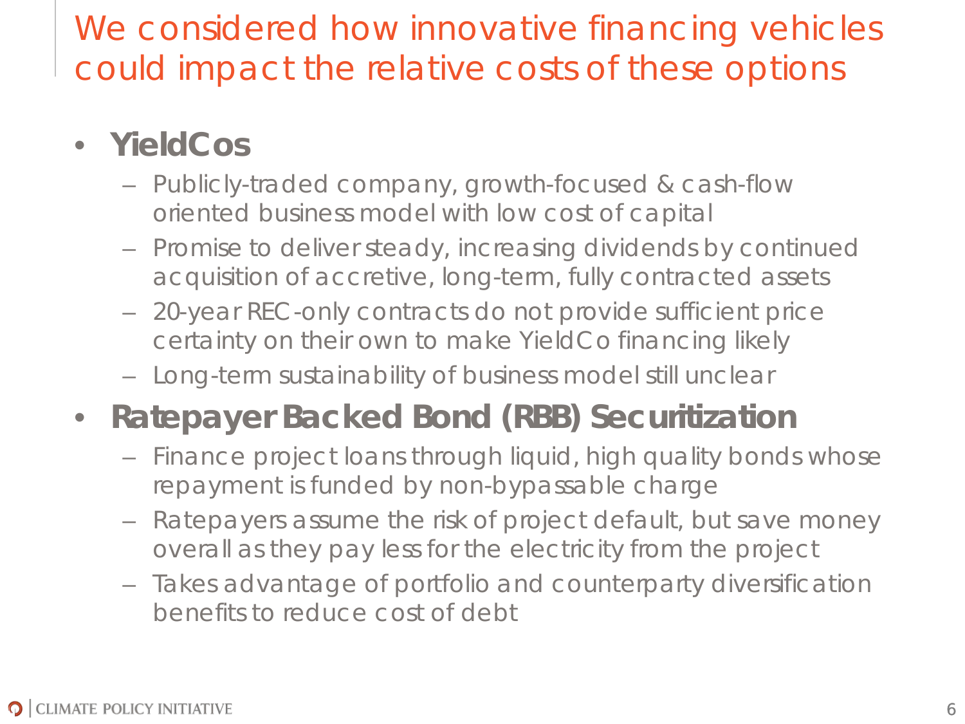We considered how innovative financing vehicles could impact the relative costs of these options

#### • **YieldCos**

- Publicly-traded company, growth-focused & cash-flow oriented business model with low cost of capital
- Promise to deliver steady, increasing dividends by continued acquisition of accretive, long-term, fully contracted assets
- 20-year REC-only contracts do not provide sufficient price certainty on their own to make YieldCo financing likely
- Long-term sustainability of business model still unclear

#### • **Ratepayer Backed Bond (RBB) Securitization**

- Finance project loans through liquid, high quality bonds whose repayment is funded by non-bypassable charge
- Ratepayers assume the risk of project default, but save money overall as they pay less for the electricity from the project
- Takes advantage of portfolio and counterparty diversification benefits to reduce cost of debt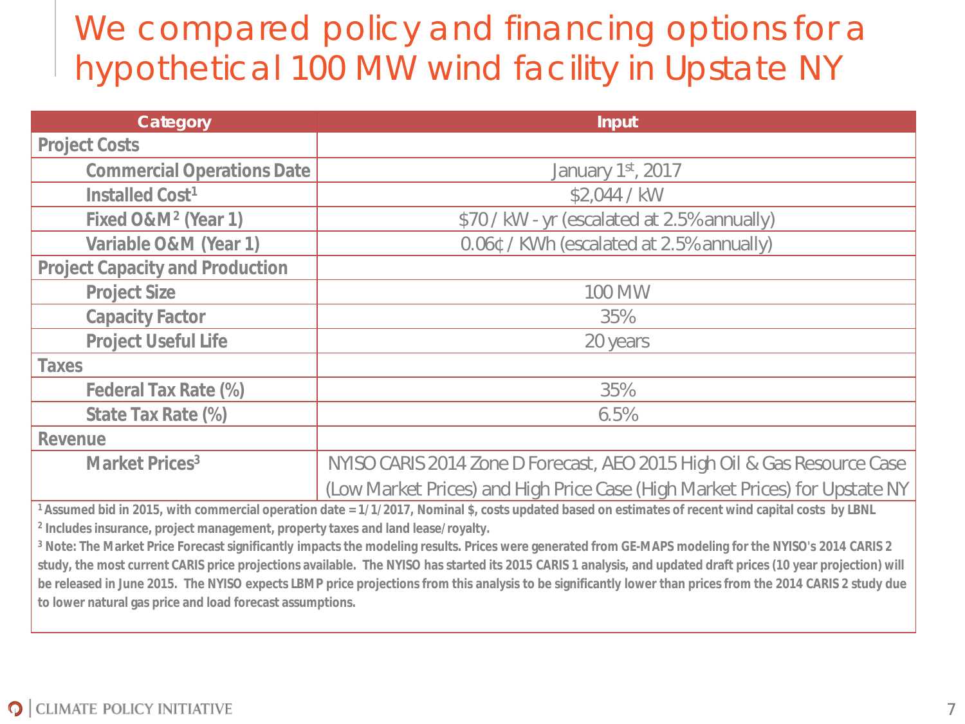## We compared policy and financing options for a hypothetical 100 MW wind facility in Upstate NY

| Category                               | <b>Input</b>                                                                                                                                                                                                                                                                                                                                                                         |  |  |
|----------------------------------------|--------------------------------------------------------------------------------------------------------------------------------------------------------------------------------------------------------------------------------------------------------------------------------------------------------------------------------------------------------------------------------------|--|--|
| <b>Project Costs</b>                   |                                                                                                                                                                                                                                                                                                                                                                                      |  |  |
| <b>Commercial Operations Date</b>      | January 1st, 2017                                                                                                                                                                                                                                                                                                                                                                    |  |  |
| Installed Cost <sup>1</sup>            | \$2,044 / kW                                                                                                                                                                                                                                                                                                                                                                         |  |  |
| Fixed O&M <sup>2</sup> (Year 1)        | \$70 / kW - yr (escalated at 2.5% annually)                                                                                                                                                                                                                                                                                                                                          |  |  |
| Variable O&M (Year 1)                  | 0.06¢ / KWh (escalated at 2.5% annually)                                                                                                                                                                                                                                                                                                                                             |  |  |
| <b>Project Capacity and Production</b> |                                                                                                                                                                                                                                                                                                                                                                                      |  |  |
| <b>Project Size</b>                    | 100 MW                                                                                                                                                                                                                                                                                                                                                                               |  |  |
| <b>Capacity Factor</b>                 | 35%                                                                                                                                                                                                                                                                                                                                                                                  |  |  |
| <b>Project Useful Life</b>             | 20 years                                                                                                                                                                                                                                                                                                                                                                             |  |  |
| <b>Taxes</b>                           |                                                                                                                                                                                                                                                                                                                                                                                      |  |  |
| Federal Tax Rate (%)                   | 35%                                                                                                                                                                                                                                                                                                                                                                                  |  |  |
| State Tax Rate (%)                     | 6.5%                                                                                                                                                                                                                                                                                                                                                                                 |  |  |
| Revenue                                |                                                                                                                                                                                                                                                                                                                                                                                      |  |  |
| Market Prices <sup>3</sup>             | NYISO CARIS 2014 Zone D Forecast, AEO 2015 High Oil & Gas Resource Case                                                                                                                                                                                                                                                                                                              |  |  |
|                                        | (Low Market Prices) and High Price Case (High Market Prices) for Upstate NY                                                                                                                                                                                                                                                                                                          |  |  |
|                                        | 1 Assumed bid in 2015, with commercial operation date = 1/1/2017, Nominal \$, costs updated based on estimates of recent wind capital costs by LBNL<br>. The contract of the contract of the contract of the contract of the contract of the contract of the contract of the contract of the contract of the contract of the contract of the contract of the contract of the contrac |  |  |

**<sup>2</sup> Includes insurance, project management, property taxes and land lease/royalty.** 

**<sup>3</sup> Note: The Market Price Forecast significantly impacts the modeling results. Prices were generated from GE-MAPS modeling for the NYISO's 2014 CARIS 2 study, the most current CARIS price projections available. The NYISO has started its 2015 CARIS 1 analysis, and updated draft prices (10 year projection) will be released in June 2015. The NYISO expects LBMP price projections from this analysis to be significantly lower than prices from the 2014 CARIS 2 study due to lower natural gas price and load forecast assumptions.**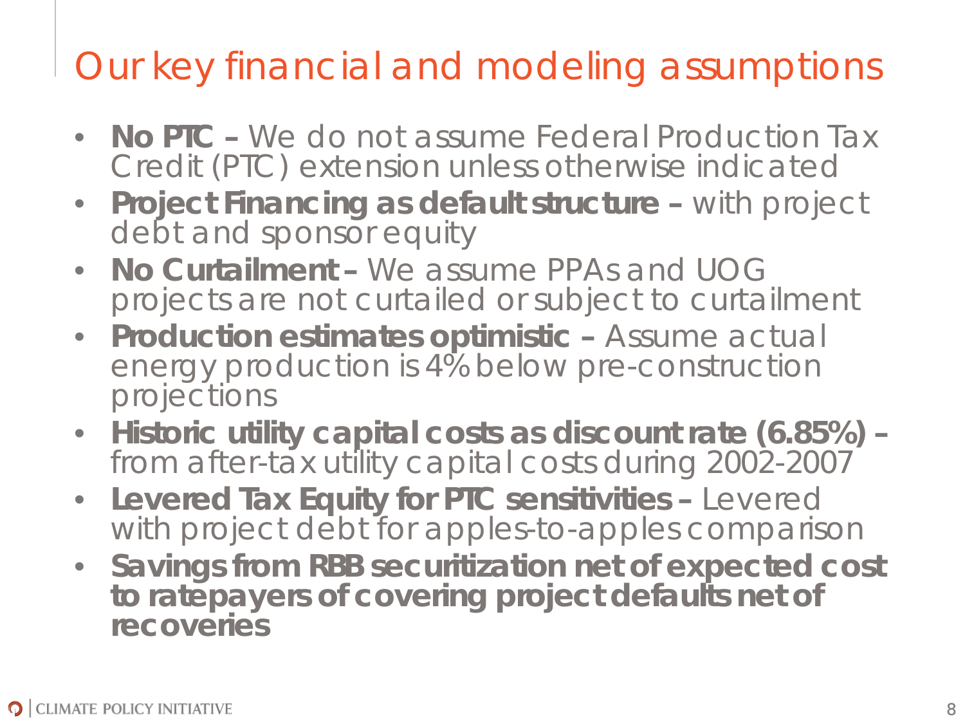# Our key financial and modeling assumptions

- **No PTC –** We do not assume Federal Production Tax Credit (PTC) extension unless otherwise indicated
- **Project Financing as default structure –** with project debt and sponsor equity
- **No Curtailment –** We assume PPAs and UOG projects are not curtailed or subject to curtailment
- **Production estimates optimistic –** Assume actual energy production is 4% below pre-construction projections
- **Historic utility capital costs as discount rate (6.85%) –** from after-tax utility capital costs during 2002-2007
- **Levered Tax Equity for PTC sensitivities –** Levered with project debt for apples-to-apples comparison
- **Savings from RBB securitization net of expected cost to ratepayers of covering project defaults net of recoveries**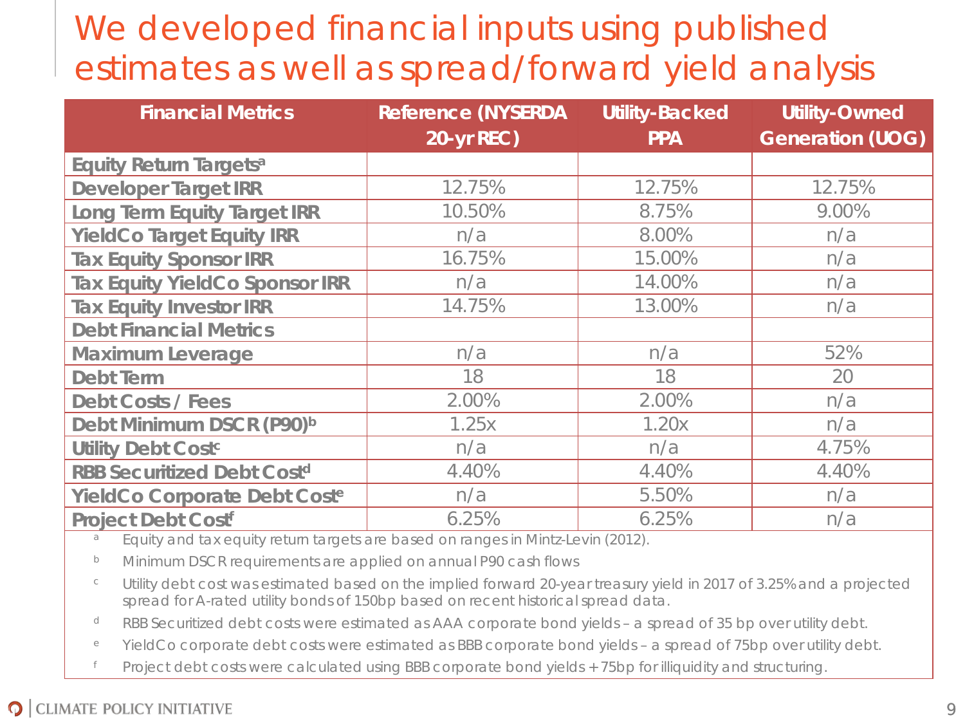## We developed financial inputs using published estimates as well as spread/forward yield analysis

| <b>Financial Metrics</b>              | <b>Reference (NYSERDA</b> | <b>Utility-Backed</b> | <b>Utility-Owned</b>    |  |
|---------------------------------------|---------------------------|-----------------------|-------------------------|--|
|                                       | <b>20-yr REC)</b>         | <b>PPA</b>            | <b>Generation (UOG)</b> |  |
| <b>Equity Return Targetsa</b>         |                           |                       |                         |  |
| <b>Developer Target IRR</b>           | 12.75%                    | 12.75%                | 12.75%                  |  |
| <b>Long Term Equity Target IRR</b>    | 10.50%                    | 8.75%                 | 9.00%                   |  |
| <b>YieldCo Target Equity IRR</b>      | n/a                       | 8.00%                 | n/a                     |  |
| <b>Tax Equity Sponsor IRR</b>         | 16.75%                    | 15.00%                | n/a                     |  |
| <b>Tax Equity YieldCo Sponsor IRR</b> | n/a                       | 14.00%                | n/a                     |  |
| <b>Tax Equity Investor IRR</b>        | 14.75%                    | 13.00%                | n/a                     |  |
| <b>Debt Financial Metrics</b>         |                           |                       |                         |  |
| <b>Maximum Leverage</b>               | n/a                       | n/a                   | 52%                     |  |
| <b>Debt Term</b>                      | 18                        | 18                    | 20                      |  |
| <b>Debt Costs / Fees</b>              | 2.00%                     | 2.00%                 | n/a                     |  |
| Debt Minimum DSCR (P90) <sup>b</sup>  | 1.25x                     | 1.20x                 | n/a                     |  |
| <b>Utility Debt Costc</b>             | n/a                       | n/a                   | 4.75%                   |  |
| <b>RBB Securitized Debt Costd</b>     | 4.40%                     | 4.40%                 | 4.40%                   |  |
| YieldCo Corporate Debt Coste          | n/a                       | 5.50%                 | n/a                     |  |
| <b>Project Debt Costf</b>             | 6.25%                     | 6.25%                 | n/a                     |  |

a Equity and tax equity return targets are based on ranges in Mintz-Levin (2012).

<sup>b</sup> Minimum DSCR requirements are applied on annual P90 cash flows

<sup>c</sup> Utility debt cost was estimated based on the implied forward 20-year treasury yield in 2017 of 3.25% and a projected spread for A-rated utility bonds of 150bp based on recent historical spread data.

<sup>d</sup> RBB Securitized debt costs were estimated as AAA corporate bond yields – a spread of 35 bp over utility debt.

<sup>e</sup> YieldCo corporate debt costs were estimated as BBB corporate bond yields – a spread of 75bp over utility debt.

<sup>f</sup> Project debt costs were calculated using BBB corporate bond yields + 75bp for illiquidity and structuring.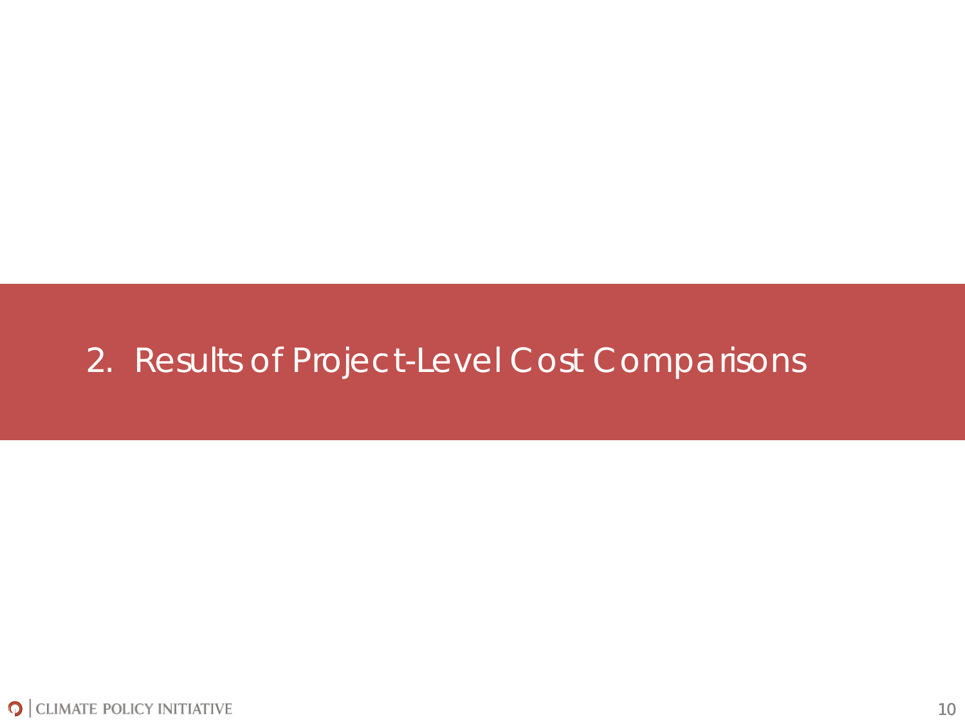#### 2. Results of Project-Level Cost Comparisons

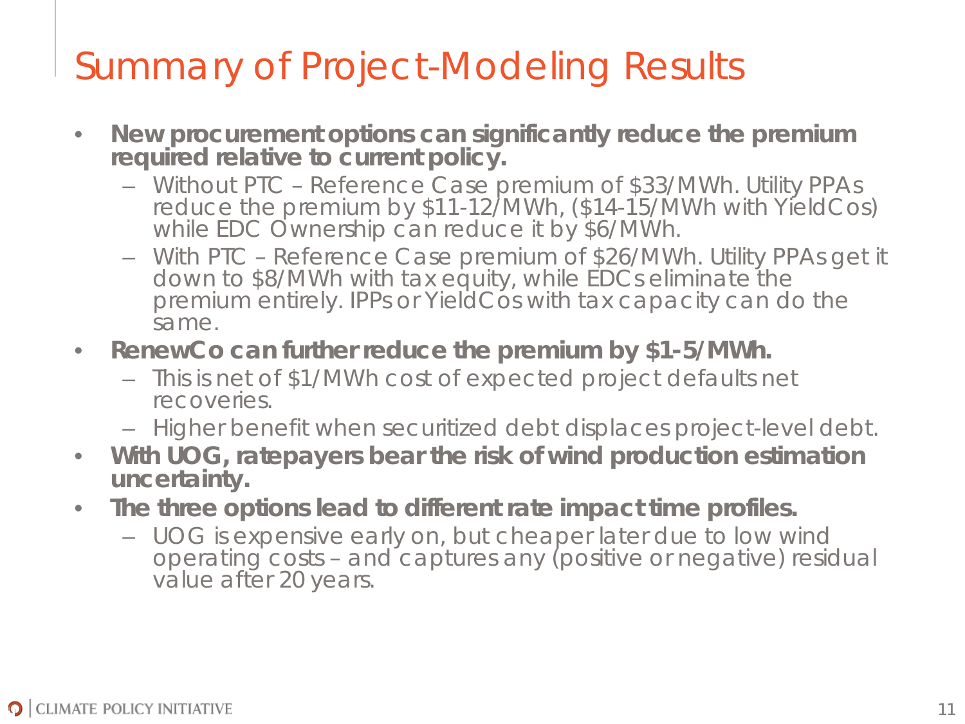# Summary of Project-Modeling Results

- **New procurement options can significantly reduce the premium required relative to current policy.**
	- Without PTC Reference Case premium of \$33/MWh. Utility PPAs reduce the premium by \$11-12/MWh, (\$14-15/MWh with YieldCos) while EDC Ownership can reduce it by \$6/MWh.
	- With PTC Reference Case premium of \$26/MWh. Utility PPAs get it down to \$8/MWh with tax equity, while EDCs eliminate the premium entirely. IPPs or YieldCos with tax capacity can do the same.
- **RenewCo can further reduce the premium by \$1-5/MWh.**
	- This is net of \$1/MWh cost of expected project defaults net recoveries.
	- Higher benefit when securitized debt displaces project-level debt.
- **With UOG, ratepayers bear the risk of wind production estimation uncertainty.**
- **The three options lead to different rate impact time profiles.**
	- UOG is expensive early on, but cheaper later due to low wind operating costs – and captures any (positive or negative) residual value after 20 years.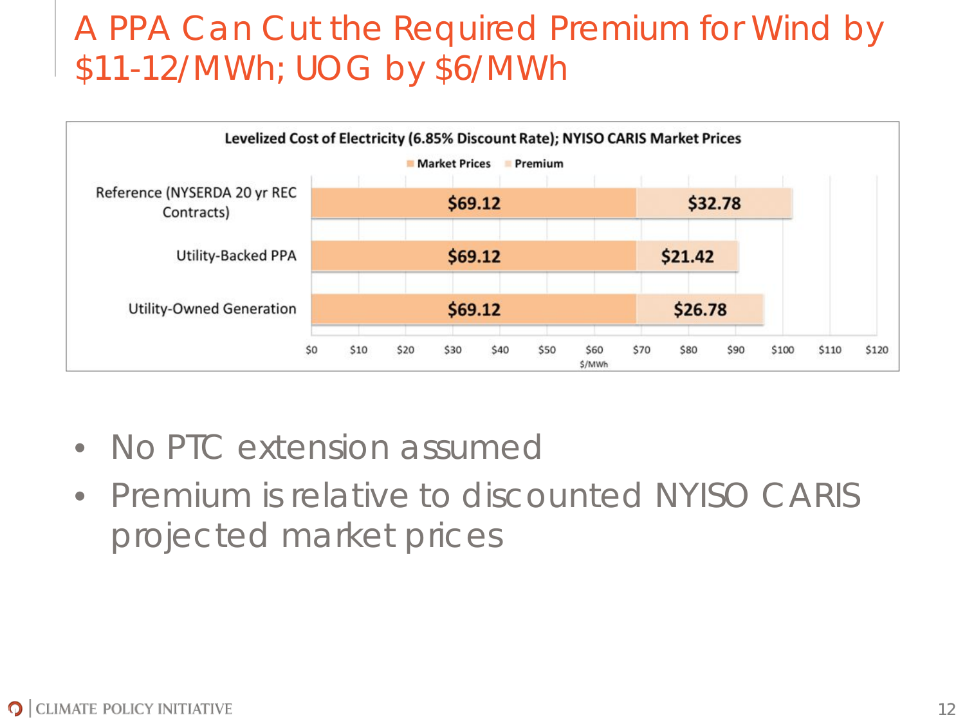#### A PPA Can Cut the Required Premium for Wind by \$11-12/MWh; UOG by \$6/MWh



- No PTC extension assumed
- Premium is relative to discounted NYISO CARIS projected market prices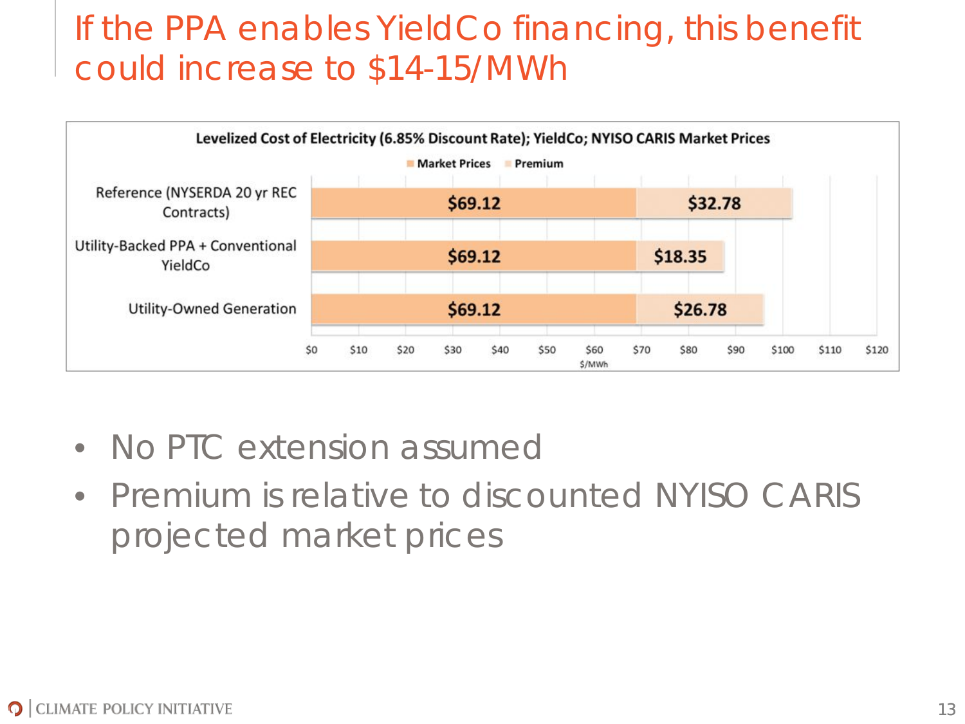#### If the PPA enables YieldCo financing, this benefit could increase to \$14-15/MWh



- No PTC extension assumed
- Premium is relative to discounted NYISO CARIS projected market prices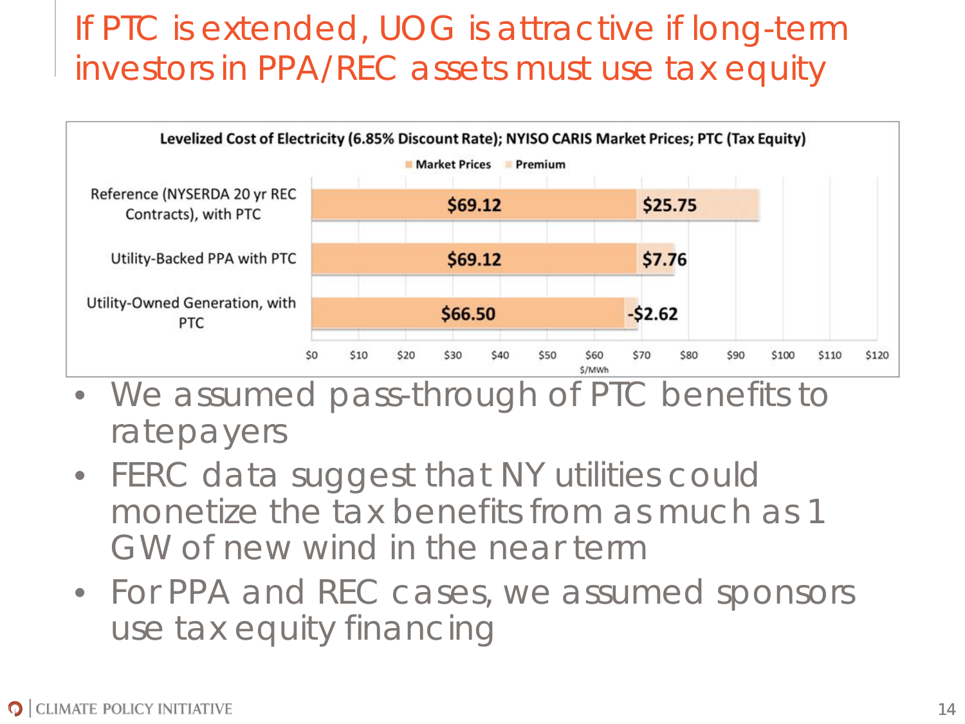### If PTC is extended, UOG is attractive if long-term investors in PPA/REC assets must use tax equity



- We assumed pass-through of PTC benefits to ratepayers
- FERC data suggest that NY utilities could monetize the tax benefits from as much as 1 GW of new wind in the near term
- For PPA and REC cases, we assumed sponsors use tax equity financing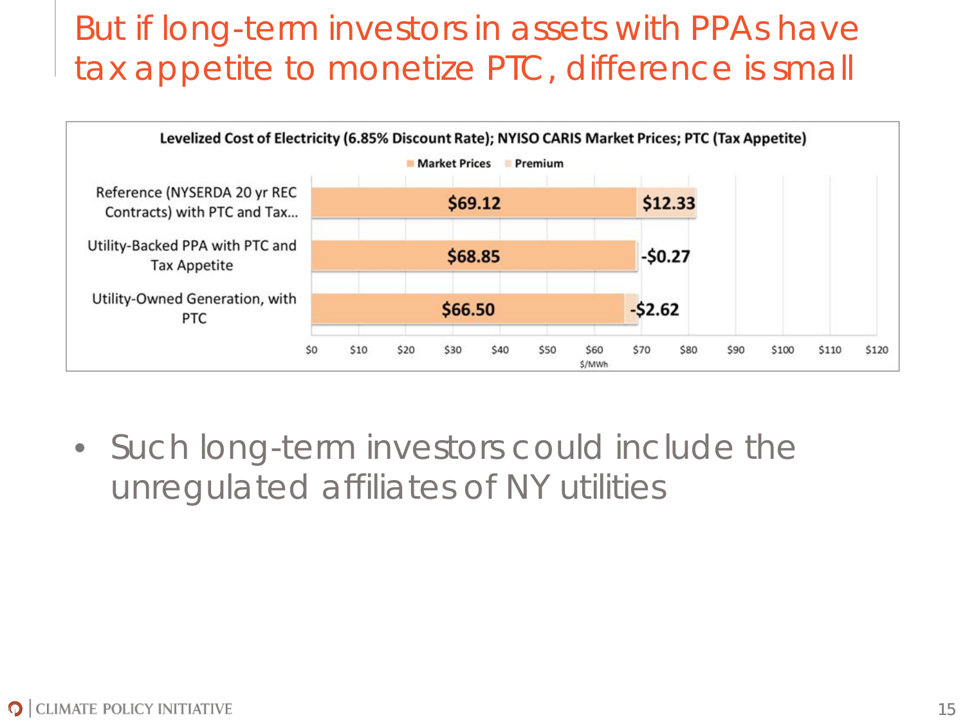#### But if long-term investors in assets with PPAs have tax appetite to monetize PTC, difference is small



• Such long-term investors could include the unregulated affiliates of NY utilities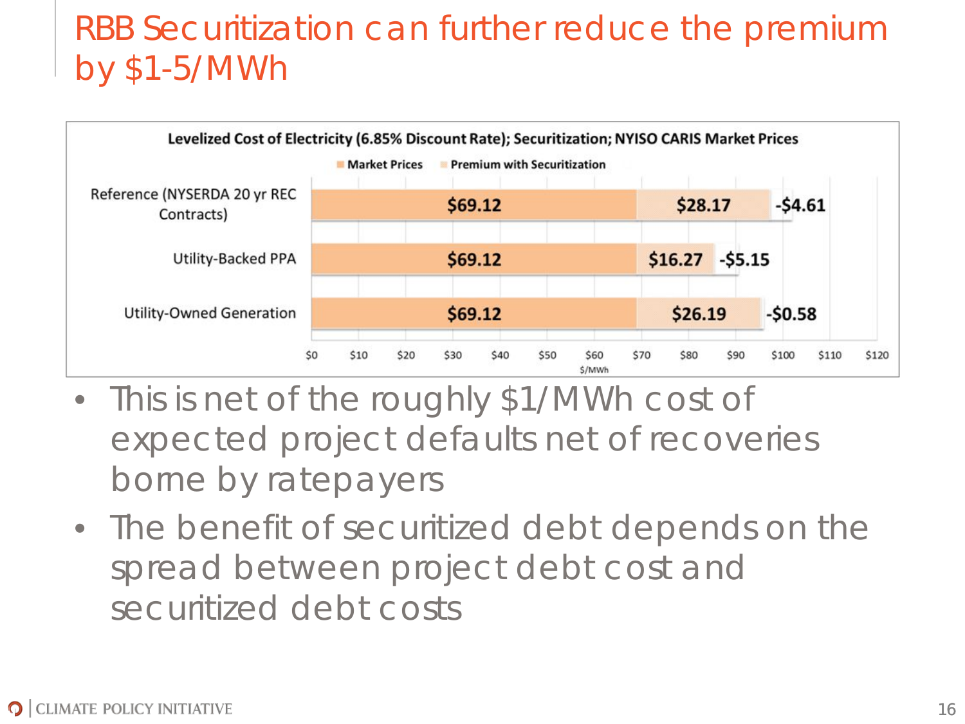### RBB Securitization can further reduce the premium by \$1-5/MWh



- This is net of the roughly \$1/MWh cost of expected project defaults net of recoveries borne by ratepayers
- The benefit of securitized debt depends on the spread between project debt cost and securitized debt costs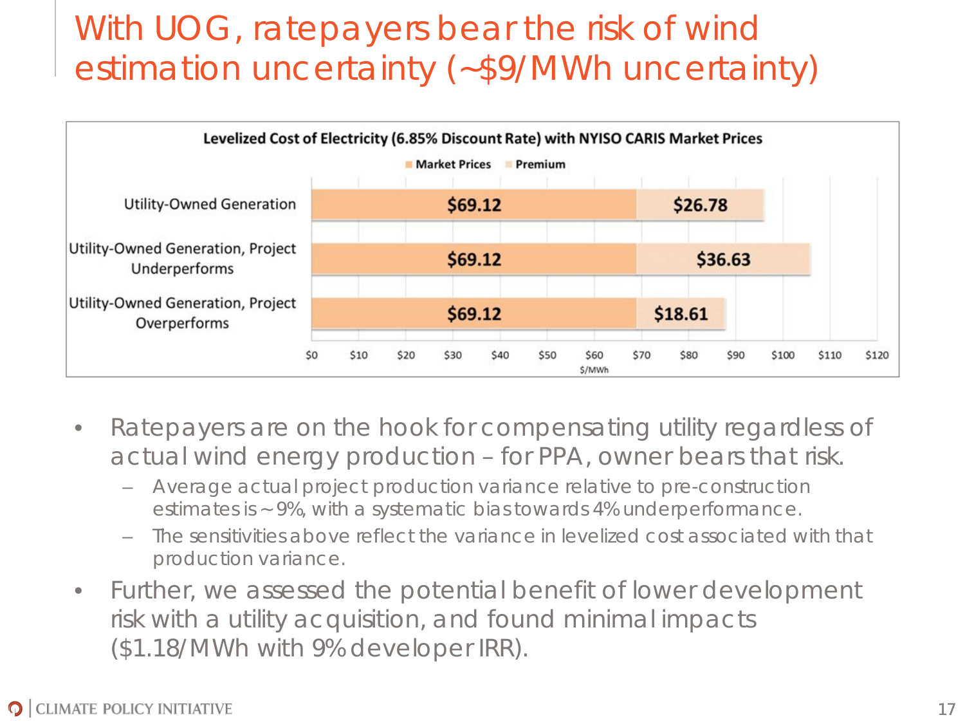## With UOG, ratepayers bear the risk of wind estimation uncertainty (~\$9/MWh uncertainty)



- Ratepayers are on the hook for compensating utility regardless of actual wind energy production – for PPA, owner bears that risk.
	- Average actual project production variance relative to pre-construction estimates is ~ 9%, with a systematic bias towards 4% underperformance.
	- The sensitivities above reflect the variance in levelized cost associated with that production variance.
- Further, we assessed the potential benefit of lower development risk with a utility acquisition, and found minimal impacts (\$1.18/MWh with 9% developer IRR).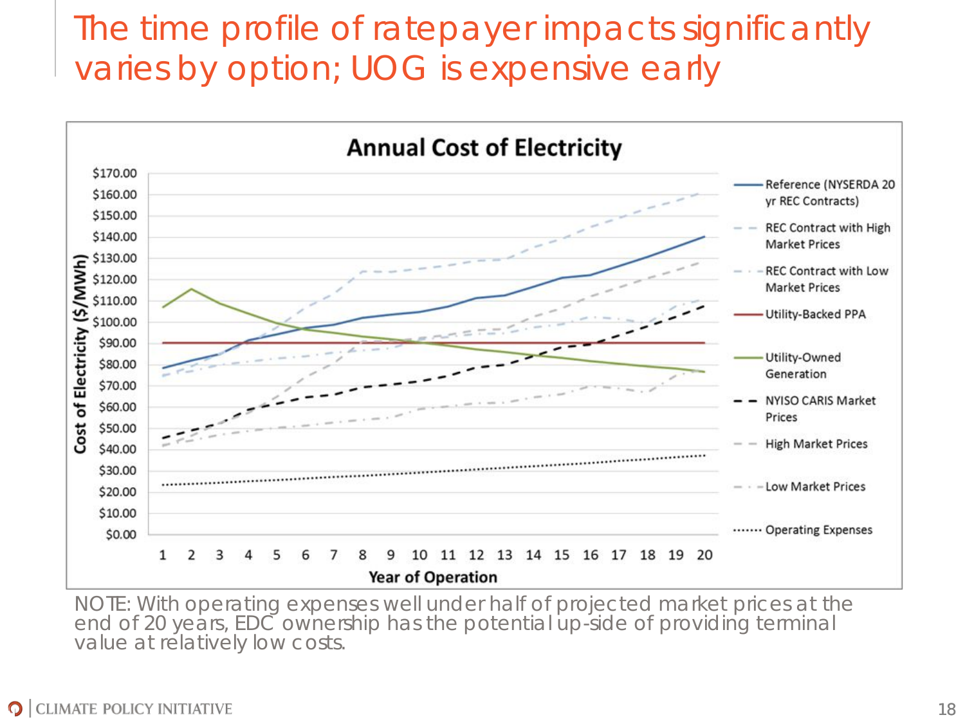#### The time profile of ratepayer impacts significantly varies by option; UOG is expensive early



NOTE: With operating expenses well under half of projected market prices at the end of 20 years, EDC ownership has the potential up-side of providing terminal value at relatively low costs.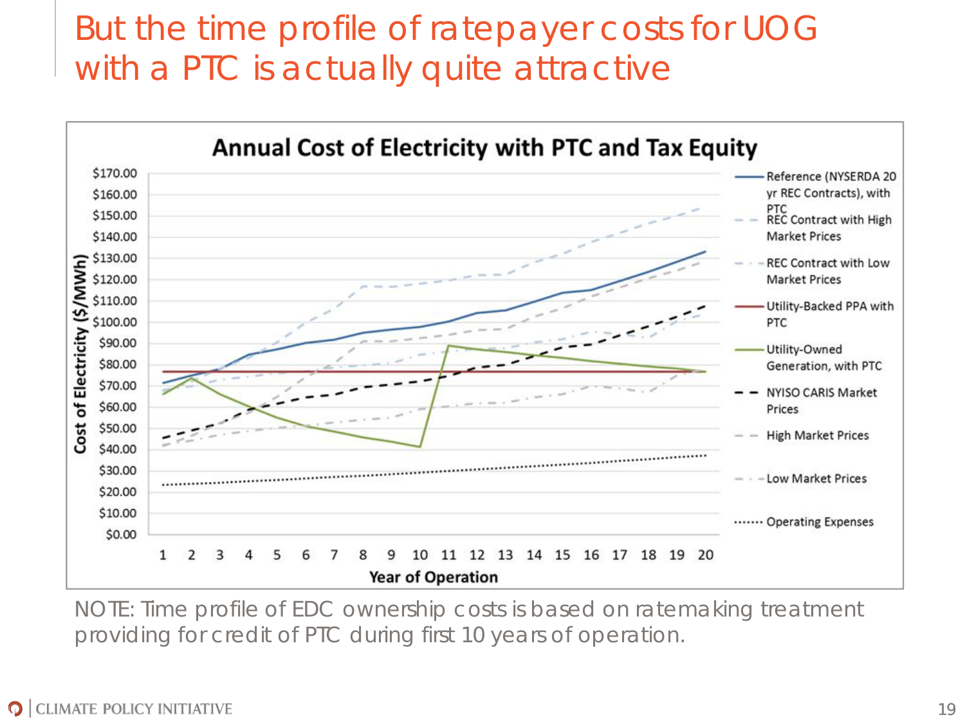### But the time profile of ratepayer costs for UOG with a PTC is actually quite attractive



NOTE: Time profile of EDC ownership costs is based on ratemaking treatment providing for credit of PTC during first 10 years of operation.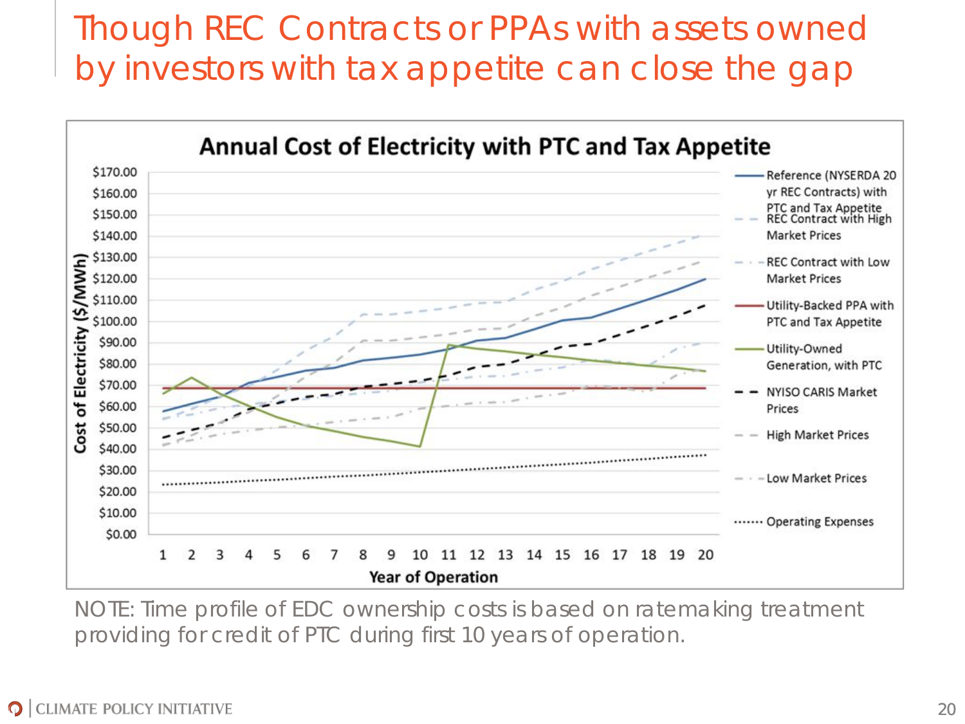### Though REC Contracts or PPAs with assets owned by investors with tax appetite can close the gap



NOTE: Time profile of EDC ownership costs is based on ratemaking treatment providing for credit of PTC during first 10 years of operation.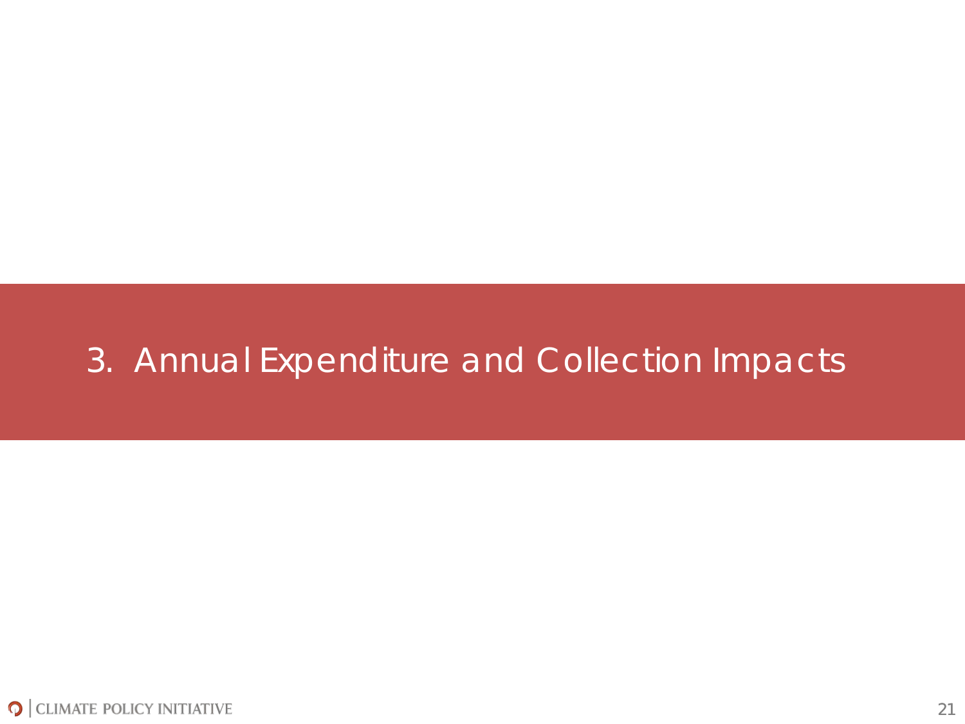#### 3. Annual Expenditure and Collection Impacts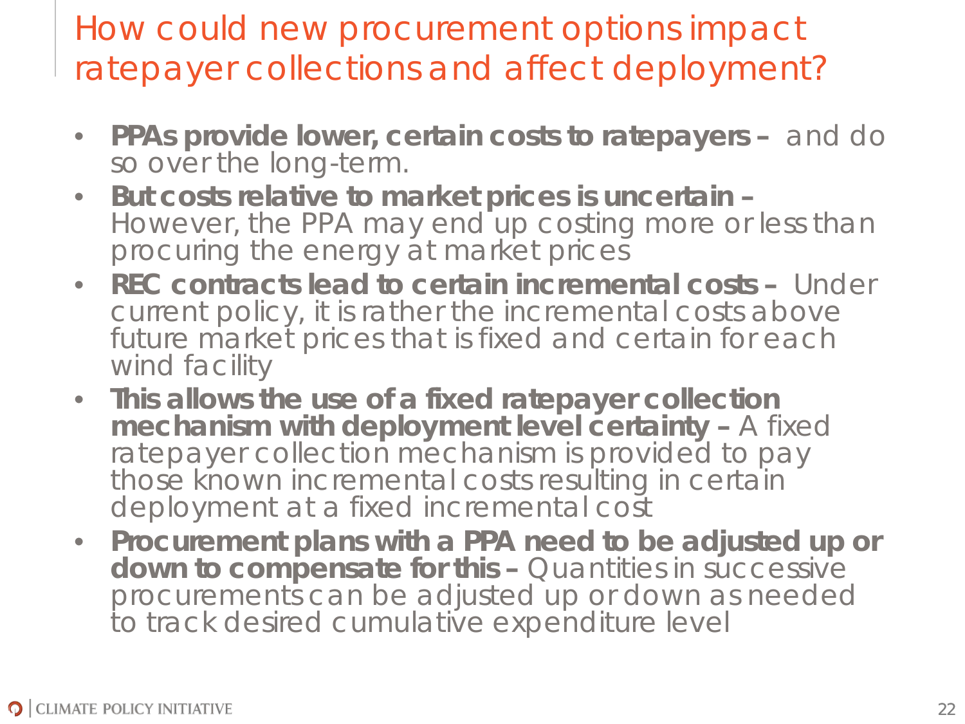How could new procurement options impact ratepayer collections and affect deployment?

- **PPAs provide lower, certain costs to ratepayers –** and do so over the long-term.
- **But costs relative to market prices is uncertain –** However, the PPA may end up costing more or less than procuring the energy at market prices
- **REC contracts lead to certain** *incremental* **costs** Under current policy, it is rather the incremental costs above future market prices that is fixed and certain for each wind facility
- **This allows the use of a fixed ratepayer collection mechanism with deployment level certainty - A fixed** ratepayer collection mechanism is provided to pay those known incremental costs resulting in certain deployment at a fixed incremental cost
- **Procurement plans with a PPA need to be adjusted up or down to compensate for this –** Quantities in successive procurements can be adjusted up or down as needed to track desired cumulative expenditure level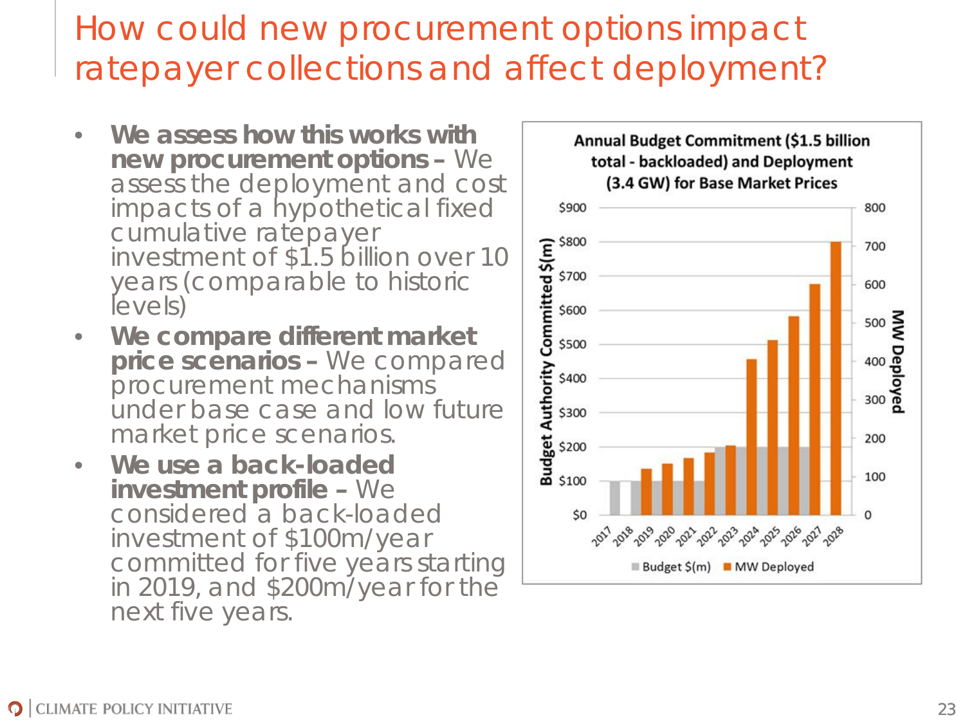### How could new procurement options impact ratepayer collections and affect deployment?

- **We assess how this works with new procurement options –** We assess the deployment and cost impacts of a hypothetical fixed cumulative ratepayer investment of \$1.5 billion over 10 years (comparable to historic levels)
- **We compare different market price scenarios –** We compared procurement mechanisms under base case and low future market price scenarios.
- **We use a back-loaded investment profile –** We considered a back-loaded investment of \$100m/year committed for five years starting in 2019, and \$200m/year for the next five years.

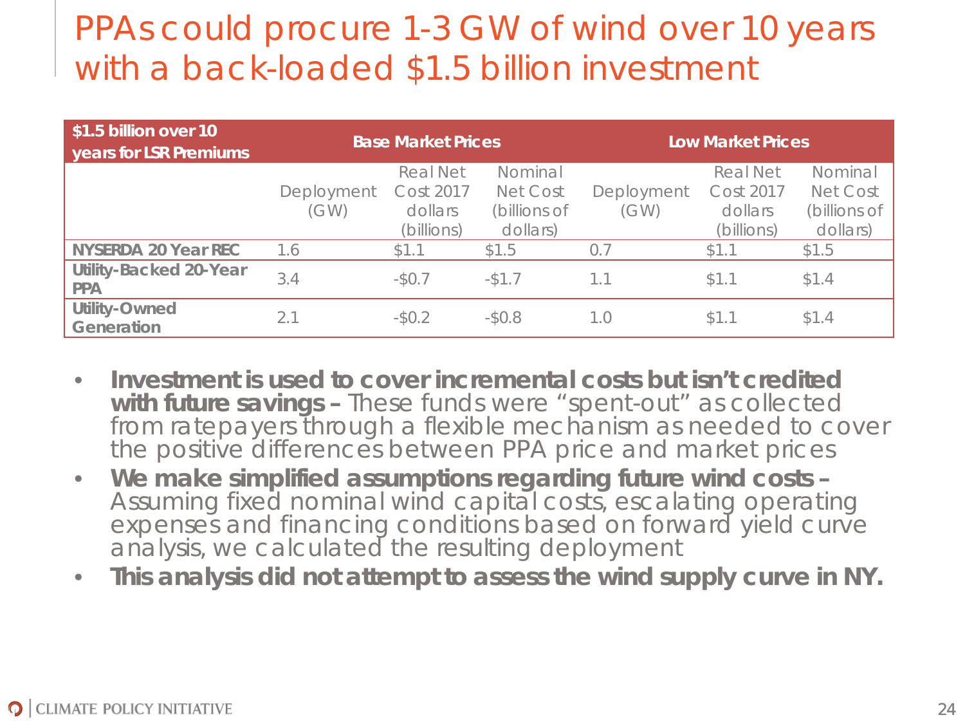#### PPAs could procure 1-3 GW of wind over 10 years with a back-loaded \$1.5 billion investment

| \$1.5 billion over 10<br>years for LSR Premiums | <b>Base Market Prices</b> |                              |                          | <b>Low Market Prices</b> |                              |                          |
|-------------------------------------------------|---------------------------|------------------------------|--------------------------|--------------------------|------------------------------|--------------------------|
|                                                 | Deployment                | <b>Real Net</b><br>Cost 2017 | Nominal<br>Net Cost      | Deployment               | <b>Real Net</b><br>Cost 2017 | Nominal<br>Net Cost      |
|                                                 | (GW)                      | dollars<br>(billions)        | (billions of<br>dollars) | (GW)                     | dollars<br>(billions)        | (billions of<br>dollars) |
| <b>NYSERDA 20 Year REC</b>                      | 1.6                       | \$1.1                        | \$1.5                    | 0.7                      | \$1.1                        | \$1.5                    |
| <b>Utility-Backed 20-Year</b><br><b>PPA</b>     | 3.4                       | $-50.7$                      | $-$ \$1.7                | 1.1                      | \$1.1                        | \$1.4                    |
| Utility-Owned<br>Generation                     | 2.1                       | $-50.2$                      | $-50.8$                  | 1.0                      | \$1.1                        | \$1.4                    |

- **Investment is used to cover incremental costs but isn't credited with future savings –** These funds were "spent-out" as collected from ratepayers through a flexible mechanism as needed to cover the *positive* differences between PPA price and market prices
- **We make simplified assumptions regarding future wind costs –** Assuming fixed nominal wind capital costs, escalating operating expenses and financing conditions based on forward yield curve analysis, we calculated the resulting deployment
- **This analysis did not attempt to assess the wind supply curve in NY.**